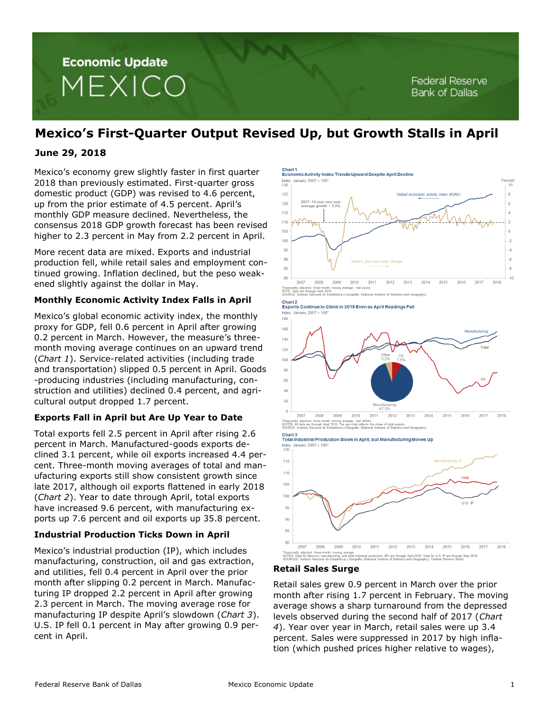

# **Mexico's First-Quarter Output Revised Up, but Growth Stalls in April**

# **June 29, 2018**

Mexico's economy grew slightly faster in first quarter 2018 than previously estimated. First-quarter gross domestic product (GDP) was revised to 4.6 percent, up from the prior estimate of 4.5 percent. April's monthly GDP measure declined. Nevertheless, the consensus 2018 GDP growth forecast has been revised higher to 2.3 percent in May from 2.2 percent in April.

More recent data are mixed. Exports and industrial production fell, while retail sales and employment continued growing. Inflation declined, but the peso weakened slightly against the dollar in May.

### **Monthly Economic Activity Index Falls in April**

Mexico's global economic activity index, the monthly proxy for GDP, fell 0.6 percent in April after growing 0.2 percent in March. However, the measure's threemonth moving average continues on an upward trend (*Chart 1*). Service-related activities (including trade and transportation) slipped 0.5 percent in April. Goods -producing industries (including manufacturing, construction and utilities) declined 0.4 percent, and agricultural output dropped 1.7 percent.

## **Exports Fall in April but Are Up Year to Date**

Total exports fell 2.5 percent in April after rising 2.6 percent in March. Manufactured-goods exports declined 3.1 percent, while oil exports increased 4.4 percent. Three-month moving averages of total and manufacturing exports still show consistent growth since late 2017, although oil exports flattened in early 2018 (*Chart 2*). Year to date through April, total exports have increased 9.6 percent, with manufacturing exports up 7.6 percent and oil exports up 35.8 percent.

## **Industrial Production Ticks Down in April**

Mexico's industrial production (IP), which includes manufacturing, construction, oil and gas extraction, and utilities, fell 0.4 percent in April over the prior month after slipping 0.2 percent in March. Manufacturing IP dropped 2.2 percent in April after growing 2.3 percent in March. The moving average rose for manufacturing IP despite April's slowdown (*Chart 3*). U.S. IP fell 0.1 percent in May after growing 0.9 percent in April.

Chart<sub>1</sub> **Economic Activity Index Trends Upward Despite April Decline** 



2007 2008 2010 2011 2012 2013 2016 2017 2009 2014 2015 2018 noving average; real pe Seasona<br>NOTE: D:<br>SOURCE stica y Geografía (National Institute of Statistics and

### Chart 2<br>Exports Continue to Climb in 2018 Even as April Readings Fall



\*Seasona<br>NOTES:<br>S∩LIRCE verage; re<br>pie chart<br>/Geografi

Chart<sub>3</sub> **Total Industrial Production Slows in April, but Manufacturing Moves Up** 



### **Retail Sales Surge**

Retail sales grew 0.9 percent in March over the prior month after rising 1.7 percent in February. The moving average shows a sharp turnaround from the depressed levels observed during the second half of 2017 (*Chart 4*). Year over year in March, retail sales were up 3.4 percent. Sales were suppressed in 2017 by high inflation (which pushed prices higher relative to wages),